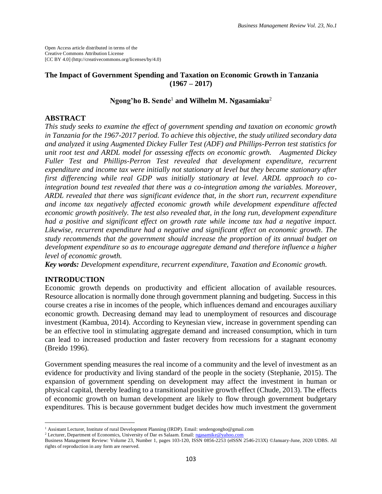Open Access article distributed in terms of the Creative Commons Attribution License [CC BY 4.0] (http://creativecommons.org/licenses/by/4.0)

## **The Impact of Government Spending and Taxation on Economic Growth in Tanzania (1967 – 2017)**

# **Ngong'ho B. Sende**<sup>1</sup> **and Wilhelm M. Ngasamiaku**<sup>2</sup>

### **ABSTRACT**

*This study seeks to examine the effect of government spending and taxation on economic growth in Tanzania for the 1967-2017 period. To achieve this objective, the study utilized secondary data and analyzed it using Augmented Dickey Fuller Test (ADF) and Phillips-Perron test statistics for unit root test and ARDL model for assessing effects on economic growth. Augmented Dickey Fuller Test and Phillips-Perron Test revealed that development expenditure, recurrent expenditure and income tax were initially not stationary at level but they became stationary after first differencing while real GDP was initially stationary at level. ARDL approach to cointegration bound test revealed that there was a co-integration among the variables. Moreover, ARDL revealed that there was significant evidence that, in the short run, recurrent expenditure and income tax negatively affected economic growth while development expenditure affected economic growth positively. The test also revealed that, in the long run, development expenditure had a positive and significant effect on growth rate while income tax had a negative impact. Likewise, recurrent expenditure had a negative and significant effect on economic growth. The study recommends that the government should increase the proportion of its annual budget on development expenditure so as to encourage aggregate demand and therefore influence a higher level of economic growth.*

*Key words: Development expenditure, recurrent expenditure, Taxation and Economic growth.*

# **INTRODUCTION**

 $\overline{\phantom{a}}$ 

Economic growth depends on productivity and efficient allocation of available resources. Resource allocation is normally done through government planning and budgeting. Success in this course creates a rise in incomes of the people, which influences demand and encourages auxiliary economic growth. Decreasing demand may lead to unemployment of resources and discourage investment (Kambua, 2014). According to Keynesian view, increase in government spending can be an effective tool in stimulating aggregate demand and increased consumption, which in turn can lead to increased production and faster recovery from recessions for a stagnant economy (Breido 1996).

Government spending measures the real income of a community and the level of investment as an evidence for productivity and living standard of the people in the society (Stephanie, 2015). The expansion of government spending on development may affect the investment in human or physical capital, thereby leading to a transitional positive growth effect (Chude, 2013). The effects of economic growth on human development are likely to flow through government budgetary expenditures. This is because government budget decides how much investment the government

<sup>&</sup>lt;sup>1</sup> Assistant Lecturer, Institute of rural Development Planning (IRDP). Email: sendengongho@gmail.com

<sup>2</sup> Lecturer, Department of Economics, University of Dar es Salaam. Email[: ngasamike@yahoo.com](mailto:ngasamike@yahoo.com)

Business Management Review: Volume 23, Number 1, pages 103-120, ISSN 0856-2253 (eISSN 2546-213X) ©January-June, 2020 UDBS. All rights of reproduction in any form are reserved.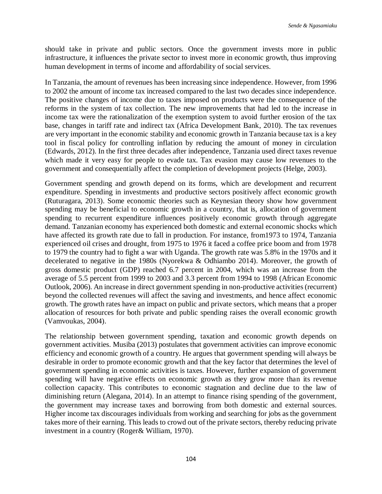should take in private and public sectors. Once the government invests more in public infrastructure, it influences the private sector to invest more in economic growth, thus improving human development in terms of income and affordability of social services.

In Tanzania, the amount of revenues has been increasing since independence. However, from 1996 to 2002 the amount of income tax increased compared to the last two decades since independence. The positive changes of income due to taxes imposed on products were the consequence of the reforms in the system of tax collection. The new improvements that had led to the increase in income tax were the rationalization of the exemption system to avoid further erosion of the tax base, changes in tariff rate and indirect tax (Africa Development Bank, 2010). The tax revenues are very important in the economic stability and economic growth in Tanzania because tax is a key tool in fiscal policy for controlling inflation by reducing the amount of money in circulation (Edwards, 2012). In the first three decades after independence, Tanzania used direct taxes revenue which made it very easy for people to evade tax. Tax evasion may cause low revenues to the government and consequentially affect the completion of development projects (Helge, 2003).

Government spending and growth depend on its forms, which are development and recurrent expenditure. Spending in investments and productive sectors positively affect economic growth (Ruturagara, 2013). Some economic theories such as Keynesian theory show how government spending may be beneficial to economic growth in a country, that is, allocation of government spending to recurrent expenditure influences positively economic growth through aggregate demand. Tanzanian economy has experienced both domestic and external economic shocks which have affected its growth rate due to fall in production. For instance, from1973 to 1974, Tanzania experienced oil crises and drought, from 1975 to 1976 it faced a coffee price boom and from 1978 to 1979 the country had to fight a war with Uganda. The growth rate was 5.8% in the 1970s and it decelerated to negative in the 1980s (Nyorekwa & Odhiambo 2014). Moreover, the growth of gross domestic product (GDP) reached 6.7 percent in 2004, which was an increase from the average of 5.5 percent from 1999 to 2003 and 3.3 percent from 1994 to 1998 (African Economic Outlook, 2006). An increase in direct government spending in non-productive activities (recurrent) beyond the collected revenues will affect the saving and investments, and hence affect economic growth. The growth rates have an impact on public and private sectors, which means that a proper allocation of resources for both private and public spending raises the overall economic growth (Vamvoukas, 2004).

The relationship between government spending, taxation and economic growth depends on government activities. Musiba (2013) postulates that government activities can improve economic efficiency and economic growth of a country. He argues that government spending will always be desirable in order to promote economic growth and that the key factor that determines the level of government spending in economic activities is taxes. However, further expansion of government spending will have negative effects on economic growth as they grow more than its revenue collection capacity. This contributes to economic stagnation and decline due to the law of diminishing return (Alegana, 2014). In an attempt to finance rising spending of the government, the government may increase taxes and borrowing from both domestic and external sources. Higher income tax discourages individuals from working and searching for jobs as the government takes more of their earning. This leads to crowd out of the private sectors, thereby reducing private investment in a country (Roger& William*,* 1970).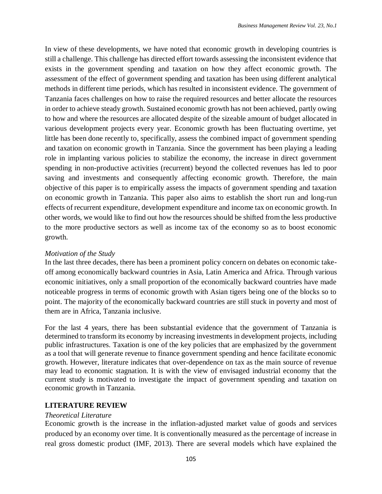In view of these developments, we have noted that economic growth in developing countries is still a challenge. This challenge has directed effort towards assessing the inconsistent evidence that exists in the government spending and taxation on how they affect economic growth. The assessment of the effect of government spending and taxation has been using different analytical methods in different time periods, which has resulted in inconsistent evidence. The government of Tanzania faces challenges on how to raise the required resources and better allocate the resources in order to achieve steady growth. Sustained economic growth has not been achieved, partly owing to how and where the resources are allocated despite of the sizeable amount of budget allocated in various development projects every year. Economic growth has been fluctuating overtime, yet little has been done recently to, specifically, assess the combined impact of government spending and taxation on economic growth in Tanzania. Since the government has been playing a leading role in implanting various policies to stabilize the economy, the increase in direct government spending in non-productive activities (recurrent) beyond the collected revenues has led to poor saving and investments and consequently affecting economic growth. Therefore, the main objective of this paper is to empirically assess the impacts of government spending and taxation on economic growth in Tanzania. This paper also aims to establish the short run and long-run effects of recurrent expenditure, development expenditure and income tax on economic growth. In other words, we would like to find out how the resources should be shifted from the less productive to the more productive sectors as well as income tax of the economy so as to boost economic growth.

# *Motivation of the Study*

In the last three decades, there has been a prominent policy concern on debates on economic takeoff among economically backward countries in Asia, Latin America and Africa. Through various economic initiatives, only a small proportion of the economically backward countries have made noticeable progress in terms of economic growth with Asian tigers being one of the blocks so to point. The majority of the economically backward countries are still stuck in poverty and most of them are in Africa, Tanzania inclusive.

For the last 4 years, there has been substantial evidence that the government of Tanzania is determined to transform its economy by increasing investments in development projects, including public infrastructures. Taxation is one of the key policies that are emphasized by the government as a tool that will generate revenue to finance government spending and hence facilitate economic growth. However, literature indicates that over-dependence on tax as the main source of revenue may lead to economic stagnation. It is with the view of envisaged industrial economy that the current study is motivated to investigate the impact of government spending and taxation on economic growth in Tanzania.

# **LITERATURE REVIEW**

### *Theoretical Literature*

Economic growth is the increase in the inflation-adjusted [market value](https://en.wikipedia.org/wiki/Market_value) of goods and services produced by an [economy](https://en.wikipedia.org/wiki/Economics) over time. It is conventionally measured as the percentage of increase in real [gross domestic product \(](https://en.wikipedia.org/wiki/Gross_domestic_product)IMF, 2013). There are several models which have explained the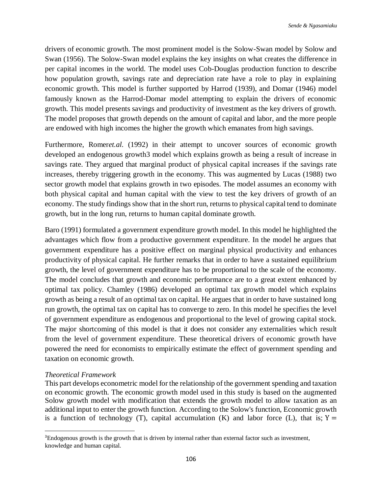drivers of economic growth. The most prominent model is the Solow-Swan model by Solow and Swan (1956). The Solow-Swan model explains the key insights on what creates the difference in per capital incomes in the world. The model uses Cob-Douglas production function to describe how population growth, savings rate and depreciation rate have a role to play in explaining economic growth. This model is further supported by [Harrod](https://en.wikipedia.org/wiki/Roy_Forbes_Harrod) (1939), and [Domar](https://en.wikipedia.org/wiki/Evsey_Domar) (1946) model famously known as the Harrod-Domar model attempting to explain the drivers of economic growth. This model presents savings and productivity of investment as the key drivers of growth. The model proposes that growth depends on the amount of capital and labor, and the more people are endowed with high incomes the higher the growth which emanates from high savings.

Furthermore, Romer*et.al.* (1992) in their attempt to uncover sources of economic growth developed an endogenous growth3 model which explains growth as being a result of increase in savings rate. They argued that marginal product of physical capital increases if the savings rate increases, thereby triggering growth in the economy. This was augmented by Lucas (1988) two sector growth model that explains growth in two episodes. The model assumes an economy with both physical capital and human capital with the view to test the key drivers of growth of an economy. The study findings show that in the short run, returns to physical capital tend to dominate growth, but in the long run, returns to human capital dominate growth.

Baro (1991) formulated a government expenditure growth model. In this model he highlighted the advantages which flow from a productive government expenditure. In the model he argues that government expenditure has a positive effect on marginal physical productivity and enhances productivity of physical capital. He further remarks that in order to have a sustained equilibrium growth, the level of government expenditure has to be proportional to the scale of the economy. The model concludes that growth and economic performance are to a great extent enhanced by optimal tax policy. Chamley (1986) developed an optimal tax growth model which explains growth as being a result of an optimal tax on capital. He argues that in order to have sustained long run growth, the optimal tax on capital has to converge to zero. In this model he specifies the level of government expenditure as endogenous and proportional to the level of growing capital stock. The major shortcoming of this model is that it does not consider any externalities which result from the level of government expenditure. These theoretical drivers of economic growth have powered the need for economists to empirically estimate the effect of government spending and taxation on economic growth.

# *Theoretical Framework*

 $\overline{a}$ 

This part develops econometric model for the relationship of the government spending and taxation on economic growth. The economic growth model used in this study is based on the augmented Solow growth model with modification that extends the growth model to allow taxation as an additional input to enter the growth function. According to the Solow's function, Economic growth is a function of technology (T), capital accumulation (K) and labor force (L), that is;  $Y =$ 

<sup>3</sup>Endogenous growth is the growth that is driven by internal rather than external factor such as investment, knowledge and human capital.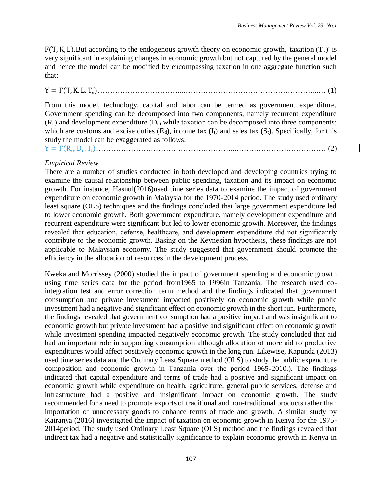$F(T, K, L)$ . But according to the endogenous growth theory on economic growth, 'taxation  $(T<sub>x</sub>)$ ' is very significant in explaining changes in economic growth but not captured by the general model and hence the model can be modified by encompassing taxation in one aggregate function such that:

Y = F(T,K, L, Tx)……………………………...……………………………………………...… (1)

From this model, technology, capital and labor can be termed as government expenditure. Government spending can be decomposed into two components, namely recurrent expenditure  $(R_e)$  and development expenditure  $(D_e)$  while taxation can be decomposed into three components; which are customs and excise duties  $(E_d)$ , income tax  $(I_t)$  and sales tax  $(S_t)$ . Specifically, for this study the model can be exaggerated as follows:

Y = F(R<sup>e</sup> ,D<sup>e</sup> , It)………………………………………………...……………………………… (2)

# *Empirical Review*

There are a number of studies conducted in both developed and developing countries trying to examine the causal relationship between public spending, taxation and its impact on economic growth. For instance, Hasnul(2016)used time series data to examine the impact of government expenditure on economic growth in Malaysia for the 1970-2014 period. The study used ordinary least square (OLS) techniques and the findings concluded that large government expenditure led to lower economic growth. Both government expenditure, namely development expenditure and recurrent expenditure were significant but led to lower economic growth. Moreover, the findings revealed that education, defense, healthcare, and development expenditure did not significantly contribute to the economic growth. Basing on the Keynesian hypothesis, these findings are not applicable to Malaysian economy. The study suggested that government should promote the efficiency in the allocation of resources in the development process.

Kweka and Morrissey (2000) studied the impact of government spending and economic growth using time series data for the period from1965 to 1996in Tanzania. The research used cointegration test and error correction term method and the findings indicated that government consumption and private investment impacted positively on economic growth while public investment had a negative and significant effect on economic growth in the short run. Furthermore, the findings revealed that government consumption had a positive impact and was insignificant to economic growth but private investment had a positive and significant effect on economic growth while investment spending impacted negatively economic growth. The study concluded that aid had an important role in supporting consumption although allocation of more aid to productive expenditures would affect positively economic growth in the long run. Likewise, Kapunda (2013) used time series data and the Ordinary Least Square method (OLS) to study the public expenditure composition and economic growth in Tanzania over the period 1965-2010.). The findings indicated that capital expenditure and terms of trade had a positive and significant impact on economic growth while expenditure on health, agriculture, general public services, defense and infrastructure had a positive and insignificant impact on economic growth. The study recommended for a need to promote exports of traditional and non-traditional products rather than importation of unnecessary goods to enhance terms of trade and growth. A similar study by Kairanya (2016) investigated the impact of taxation on economic growth in Kenya for the 1975- 2014period. The study used Ordinary Least Square (OLS) method and the findings revealed that indirect tax had a negative and statistically significance to explain economic growth in Kenya in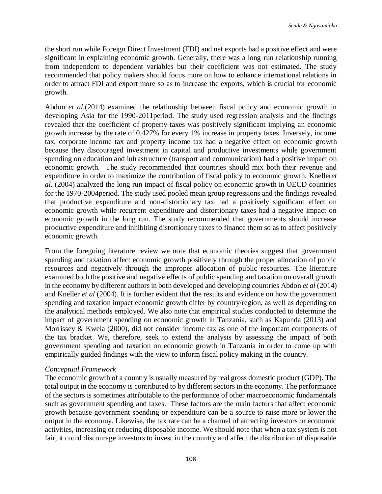the short run while Foreign Direct Investment (FDI) and net exports had a positive effect and were significant in explaining economic growth. Generally, there was a long run relationship running from independent to dependent variables but their coefficient was not estimated. The study recommended that policy makers should focus more on how to enhance international relations in order to attract FDI and export more so as to increase the exports, which is crucial for economic growth.

Abdon *et al.*(2014) examined the relationship between fiscal policy and economic growth in developing Asia for the 1990-2011period. The study used regression analysis and the findings revealed that the coefficient of property taxes was positively significant implying an economic growth increase by the rate of 0.427% for every 1% increase in property taxes. Inversely, income tax, corporate income tax and property income tax had a negative effect on economic growth because they discouraged investment in capital and productive investments while government spending on education and infrastructure (transport and communication) had a positive impact on economic growth. The study recommended that countries should mix both their revenue and expenditure in order to maximize the contribution of fiscal policy to economic growth. Kneller*et al.* (2004) analyzed the long run impact of fiscal policy on economic growth in OECD countries for the 1970-2004period. The study used pooled mean group regressions and the findings revealed that productive expenditure and non-distortionary tax had a positively significant effect on economic growth while recurrent expenditure and distortionary taxes had a negative impact on economic growth in the long run. The study recommended that governments should increase productive expenditure and inhibiting distortionary taxes to finance them so as to affect positively economic growth.

From the foregoing literature review we note that economic theories suggest that government spending and taxation affect economic growth positively through the proper allocation of public resources and negatively through the improper allocation of public resources. The literature examined both the positive and negative effects of public spending and taxation on overall growth in the economy by different authors in both developed and developing countries Abdon *et al* (2014) and Kneller *et al* (2004). It is further evident that the results and evidence on how the government spending and taxation impact economic growth differ by country/region, as well as depending on the analytical methods employed. We also note that empirical studies conducted to determine the impact of government spending on economic growth in Tanzania, such as Kapunda (2013) and Morrissey & Kwela (2000), did not consider income tax as one of the important components of the tax bracket. We, therefore, seek to extend the analysis by assessing the impact of both government spending and taxation on economic growth in Tanzania in order to come up with empirically guided findings with the view to inform fiscal policy making in the country.

### *Conceptual Framework*

The economic growth of a country is usually measured by real gross domestic product (GDP). The total output in the economy is contributed to by different sectors in the economy. The performance of the sectors is sometimes attributable to the performance of other macroeconomic fundamentals such as government spending and taxes. These factors are the main factors that affect economic growth because government spending or expenditure can be a source to raise more or lower the output in the economy. Likewise, the tax rate can be a channel of attracting investors or economic activities, increasing or reducing disposable income. We should note that when a tax system is not fair, it could discourage investors to invest in the country and affect the distribution of disposable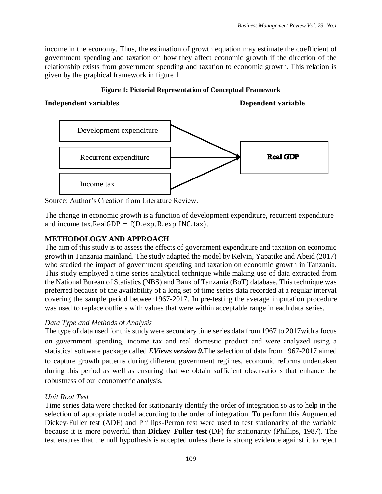income in the economy. Thus, the estimation of growth equation may estimate the coefficient of government spending and taxation on how they affect economic growth if the direction of the relationship exists from government spending and taxation to economic growth. This relation is given by the graphical framework in figure 1.

### **Figure 1: Pictorial Representation of Conceptual Framework**

### **Independent variables Dependent variable Dependent variable**



Source: Author's Creation from Literature Review.

The change in economic growth is a function of development expenditure, recurrent expenditure and income tax.RealGDP =  $f(D. exp, R. exp, INC. tax)$ .

# **METHODOLOGY AND APPROACH**

The aim of this study is to assess the effects of government expenditure and taxation on economic growth in Tanzania mainland. The study adapted the model by Kelvin, Yapatike and Abeid (2017) who studied the impact of government spending and taxation on economic growth in Tanzania. This study employed a time series analytical technique while making use of data extracted from the National Bureau of Statistics (NBS) and Bank of Tanzania (BoT) database. This technique was preferred because of the availability of a long set of time series data recorded at a regular interval covering the sample period between1967-2017. In pre-testing the average imputation procedure was used to replace outliers with values that were within acceptable range in each data series.

# *Data Type and Methods of Analysis*

The type of data used for this study were secondary time series data from 1967 to 2017with a focus on government spending, income tax and real domestic product and were analyzed using a statistical software package called *EViews version 9***.**The selection of data from 1967-2017 aimed to capture growth patterns during different government regimes, economic reforms undertaken during this period as well as ensuring that we obtain sufficient observations that enhance the robustness of our econometric analysis.

# *Unit Root Test*

Time series data were checked for stationarity identify the order of integration so as to help in the selection of appropriate model according to the order of integration. To perform this Augmented Dickey-Fuller test (ADF) and Phillips-Perron test were used to test stationarity of the variable because it is more powerful than **Dickey–Fuller test** (DF) for stationarity (Phillips, 1987). The test ensures that the null hypothesis is accepted unless there is strong evidence against it to reject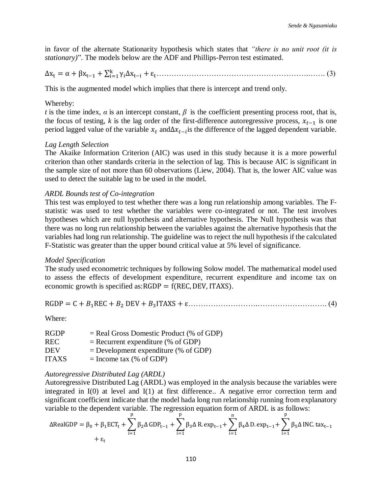in favor of the alternate Stationarity hypothesis which states that *"there is no unit root (it is stationary)*". The models below are the ADF and Phillips-Perron test estimated.

∆x<sup>t</sup> = α + βxt−1 + ∑ γi∆xt−i + ε<sup>t</sup> k i=1 …………………………………………………….……. (3)

This is the augmented model which implies that there is intercept and trend only.

### Whereby:

*t* is the time index,  $\alpha$  is an intercept constant,  $\beta$  is the coefficient presenting process root, that is, the focus of testing, *k* is the lag order of the first-difference autoregressive process,  $x_{t-1}$  is one period lagged value of the variable  $x_t$  and $\Delta x_{t-i}$  is the difference of the lagged dependent variable.

#### *Lag Length Selection*

The Akaike Information Criterion (AIC) was used in this study because it is a more powerful criterion than other standards criteria in the selection of lag. This is because AIC is significant in the sample size of not more than 60 observations (Liew, 2004). That is, the lower AIC value was used to detect the suitable lag to be used in the model.

### *ARDL Bounds test of Co-integration*

This test was employed to test whether there was a long run relationship among variables. The Fstatistic was used to test whether the variables were co-integrated or not. The test involves hypotheses which are null hypothesis and alternative hypothesis. The Null hypothesis was that there was no long run relationship between the variables against the alternative hypothesis that the variables had long run relationship. The guideline was to reject the null hypothesis if the calculated F-Statistic was greater than the upper bound critical value at 5% level of significance.

#### *Model Specification*

The study used econometric techniques by following Solow model. The mathematical model used to assess the effects of development expenditure, recurrent expenditure and income tax on economic growth is specified as: $RGDP = f(REC, DEV, ITAXS)$ .

$$
RGDP = C + B_1REC + B_2 DEV + B_3ITAXS + \varepsilon
$$
 (4)

Where:

| <b>RGDP</b>  | $=$ Real Gross Domestic Product (% of GDP) |
|--------------|--------------------------------------------|
| <b>REC</b>   | $=$ Recurrent expenditure (% of GDP)       |
| <b>DEV</b>   | $=$ Development expenditure (% of GDP)     |
| <b>ITAXS</b> | $=$ Income tax (% of GDP)                  |

#### *Autoregressive Distributed Lag (ARDL)*

Autoregressive Distributed Lag (ARDL) was employed in the analysis because the variables were integrated in I(0) at level and I(1) at first difference.. A negative error correction term and significant coefficient indicate that the model hada long run relationship running from explanatory variable to the dependent variable. The regression equation form of ARDL is as follows:

$$
\Delta \text{RealGDP} = \beta_0 + \beta_1 \text{ECT}_t + \sum_{i=1}^p \beta_2 \Delta \text{ GDP}_{t-1} + \sum_{i=1}^p \beta_3 \Delta \text{ R.} \exp_{t-1} + \sum_{i=1}^n \beta_4 \Delta \text{ D.} \exp_{t-1} + \sum_{i=1}^p \beta_5 \Delta \text{INC.} \tan t - \epsilon_1
$$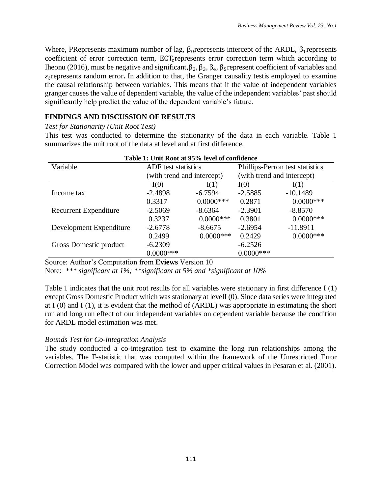Where, PRepresents maximum number of lag,  $\beta_0$  represents intercept of the ARDL,  $\beta_1$  represents coefficient of error correction term,  $ECT<sub>t</sub>$  represents error correction term which according to Iheonu (2016), must be negative and significant,  $β_2$ ,  $β_3$ ,  $β_4$ ,  $β_5$ represent coefficient of variables and  $\varepsilon_t$  represents random error. In addition to that, the Granger causality testis employed to examine the causal relationship between variables. This means that if the value of independent variables granger causes the value of dependent variable, the value of the independent variables' past should significantly help predict the value of the dependent variable's future.

# **FINDINGS AND DISCUSSION OF RESULTS**

# *Test for Stationarity (Unit Root Test)*

This test was conducted to determine the stationarity of the data in each variable. Table 1 summarizes the unit root of the data at level and at first difference.

|                              | Table 1: Unit Root at 95% level of confidence |              |                                 |              |
|------------------------------|-----------------------------------------------|--------------|---------------------------------|--------------|
| Variable                     | <b>ADF</b> test statistics                    |              | Phillips-Perron test statistics |              |
|                              | (with trend and intercept)                    |              | (with trend and intercept)      |              |
|                              | I(0)                                          | I(1)         | I(0)                            | I(1)         |
| Income tax                   | $-2.4898$                                     | $-6.7594$    | $-2.5885$                       | $-10.1489$   |
|                              | 0.3317                                        | $0.0000$ *** | 0.2871                          | $0.0000$ *** |
| <b>Recurrent Expenditure</b> | $-2.5069$                                     | $-8.6364$    | $-2.3901$                       | $-8.8570$    |
|                              | 0.3237                                        | $0.0000$ *** | 0.3801                          | $0.0000$ *** |
| Development Expenditure      | $-2.6778$                                     | $-8.6675$    | $-2.6954$                       | $-11.8911$   |
|                              | 0.2499                                        | $0.0000$ *** | 0.2429                          | $0.0000$ *** |
| Gross Domestic product       | $-6.2309$                                     |              | $-6.2526$                       |              |
|                              | $0.0000$ ***                                  |              | $0.0000$ ***                    |              |

# **Table 1: Unit Root at 95% level of confidence**

Source: Author's Computation from **Eviews** Version 10

Note: *\*\*\* significant at 1%; \*\*significant at 5% and \*significant at 10%*

Table 1 indicates that the unit root results for all variables were stationary in first difference I (1) except Gross Domestic Product which was stationary at levelI (0). Since data series were integrated at I (0) and I (1), it is evident that the method of (ARDL) was appropriate in estimating the short run and long run effect of our independent variables on dependent variable because the condition for ARDL model estimation was met.

# *Bounds Test for Co-integration Analysis*

The study conducted a co-integration test to examine the long run relationships among the variables. The F-statistic that was computed within the framework of the Unrestricted Error Correction Model was compared with the lower and upper critical values in Pesaran et al. (2001).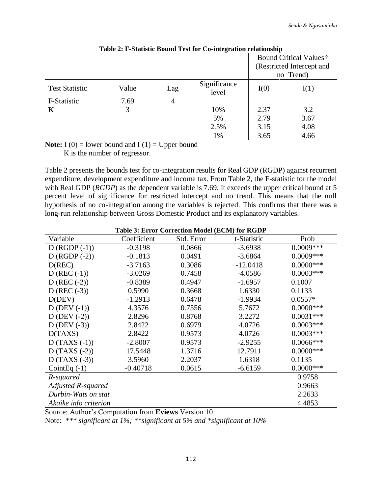|                       |       |     |                       |      | <b>Bound Critical Values†</b><br>(Restricted Intercept and<br>no Trend) |
|-----------------------|-------|-----|-----------------------|------|-------------------------------------------------------------------------|
| <b>Test Statistic</b> | Value | Lag | Significance<br>level | I(0) | I(1)                                                                    |
| F-Statistic           | 7.69  | 4   |                       |      |                                                                         |
| K                     | 3     |     | 10%                   | 2.37 | 3.2                                                                     |
|                       |       |     | 5%                    | 2.79 | 3.67                                                                    |
|                       |       |     | 2.5%                  | 3.15 | 4.08                                                                    |
|                       |       |     | 1%                    | 3.65 | 4.66                                                                    |

**Note:**  $I(0) =$  lower bound and  $I(1) =$  Upper bound

K is the number of regressor.

Table 2 presents the bounds test for co-integration results for Real GDP (RGDP) against recurrent expenditure, development expenditure and income tax. From Table 2, the F-statistic for the model with Real GDP (*RGDP*) as the dependent variable is 7.69. It exceeds the upper critical bound at 5 percent level of significance for restricted intercept and no trend. This means that the null hypothesis of no co-integration among the variables is rejected. This confirms that there was a long-run relationship between Gross Domestic Product and its explanatory variables.

|                           |             | <b>Table 3: Error Correction Model (ECM) for RGDP</b> |             |              |
|---------------------------|-------------|-------------------------------------------------------|-------------|--------------|
| Variable                  | Coefficient | Std. Error                                            | t-Statistic | Prob         |
| $D (RGDP (-1))$           | $-0.3198$   | 0.0866                                                | $-3.6938$   | $0.0009***$  |
| $D (RGDP (-2))$           | $-0.1813$   | 0.0491                                                | $-3.6864$   | $0.0009***$  |
| D(REC)                    | $-3.7163$   | 0.3086                                                | $-12.0418$  | $0.0000$ *** |
| $D (REC (-1))$            | $-3.0269$   | 0.7458                                                | $-4.0586$   | $0.0003***$  |
| $D (REC (-2))$            | $-0.8389$   | 0.4947                                                | $-1.6957$   | 0.1007       |
| $D (REC (-3))$            | 0.5990      | 0.3668                                                | 1.6330      | 0.1133       |
| D(DEV)                    | $-1.2913$   | 0.6478                                                | $-1.9934$   | $0.0557*$    |
| $D$ (DEV $(-1)$ )         | 4.3576      | 0.7556                                                | 5.7672      | $0.0000$ *** |
| $D$ (DEV $(-2)$ )         | 2.8296      | 0.8768                                                | 3.2272      | $0.0031***$  |
| $D$ (DEV $(-3)$ )         | 2.8422      | 0.6979                                                | 4.0726      | $0.0003***$  |
| D(TAXS)                   | 2.8422      | 0.9573                                                | 4.0726      | $0.0003***$  |
| $D(TAXS(-1))$             | $-2.8007$   | 0.9573                                                | $-2.9255$   | $0.0066***$  |
| $D(TAXS(-2))$             | 17.5448     | 1.3716                                                | 12.7911     | $0.0000$ *** |
| $D(TAXS(-3))$             | 3.5960      | 2.2037                                                | 1.6318      | 0.1135       |
| Coint Eq $(-1)$           | $-0.40718$  | 0.0615                                                | $-6.6159$   | $0.0000$ *** |
| R-squared                 |             |                                                       |             | 0.9758       |
| <b>Adjusted R-squared</b> |             |                                                       |             | 0.9663       |
| Durbin-Wats on stat       |             |                                                       |             | 2.2633       |
| Akaike info criterion     |             |                                                       |             | 4.4853       |

**Table 3: Error Correction Model (ECM) for RGDP**

Source: Author's Computation from **Eviews** Version 10

Note: *\*\*\* significant at 1%; \*\*significant at 5% and \*significant at 10%*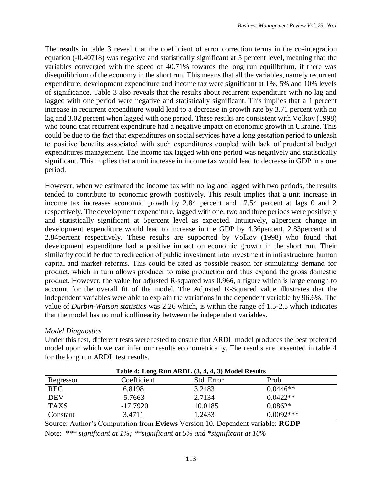The results in table 3 reveal that the coefficient of error correction terms in the co-integration equation (-0.40718) was negative and statistically significant at 5 percent level, meaning that the variables converged with the speed of 40.71% towards the long run equilibrium, if there was disequilibrium of the economy in the short run. This means that all the variables, namely recurrent expenditure, development expenditure and income tax were significant at 1%, 5% and 10% levels of significance. Table 3 also reveals that the results about recurrent expenditure with no lag and lagged with one period were negative and statistically significant. This implies that a 1 percent increase in recurrent expenditure would lead to a decrease in growth rate by 3.71 percent with no lag and 3.02 percent when lagged with one period. These results are consistent with Volkov (1998) who found that recurrent expenditure had a negative impact on economic growth in Ukraine. This could be due to the fact that expenditures on social services have a long gestation period to unleash to positive benefits associated with such expenditures coupled with lack of prudential budget expenditures management. The income tax lagged with one period was negatively and statistically significant. This implies that a unit increase in income tax would lead to decrease in GDP in a one period.

However, when we estimated the income tax with no lag and lagged with two periods, the results tended to contribute to economic growth positively. This result implies that a unit increase in income tax increases economic growth by 2.84 percent and 17.54 percent at lags 0 and 2 respectively. The development expenditure, lagged with one, two and three periods were positively and statistically significant at 5percent level as expected. Intuitively, a1percent change in development expenditure would lead to increase in the GDP by 4.36percent, 2.83percent and 2.84percent respectively. These results are supported by Volkov (1998) who found that development expenditure had a positive impact on economic growth in the short run. Their similarity could be due to redirection of public investment into investment in infrastructure, human capital and market reforms. This could be cited as possible reason for stimulating demand for product, which in turn allows producer to raise production and thus expand the gross domestic product. However, the value for adjusted R-squared was 0.966, a figure which is large enough to account for the overall fit of the model. The Adjusted R-Squared value illustrates that the independent variables were able to explain the variations in the dependent variable by 96.6%. The value of *Durbin-Watson statistics* was 2.26 which, is within the range of 1.5-2.5 which indicates that the model has no multicollinearity between the independent variables.

# *Model Diagnostics*

Under this test, different tests were tested to ensure that ARDL model produces the best preferred model upon which we can infer our results econometrically. The results are presented in table 4 for the long run ARDL test results.

| Table 4: Long Run ARDL (3, 4, 4, 3) Model Results |             |            |             |  |
|---------------------------------------------------|-------------|------------|-------------|--|
| Regressor                                         | Coefficient | Std. Error | Prob        |  |
| <b>REC</b>                                        | 6.8198      | 3.2483     | $0.0446**$  |  |
| DEV                                               | $-5.7663$   | 2.7134     | $0.0422**$  |  |
| <b>TAXS</b>                                       | $-17.7920$  | 10.0185    | $0.0862*$   |  |
| Constant                                          | 3.4711      | 1.2433     | $0.0092***$ |  |

Source: Author's Computation from **Eviews** Version 10. Dependent variable: **RGDP** Note: *\*\*\* significant at 1%; \*\*significant at 5% and \*significant at 10%*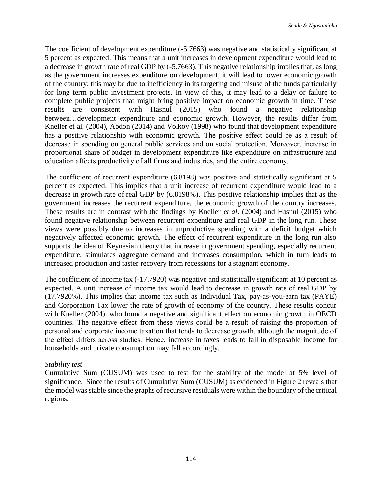The coefficient of development expenditure (-5.7663) was negative and statistically significant at 5 percent as expected. This means that a unit increases in development expenditure would lead to a decrease in growth rate of real GDP by (-5.7663). This negative relationship implies that, as long as the government increases expenditure on development, it will lead to lower economic growth of the country; this may be due to inefficiency in its targeting and misuse of the funds particularly for long term public investment projects. In view of this, it may lead to a delay or failure to complete public projects that might bring positive impact on economic growth in time. These results are consistent with Hasnul (2015) who found a negative relationship between…development expenditure and economic growth. However, the results differ from Kneller et al. (2004), Abdon (2014) and Volkov (1998) who found that development expenditure has a positive relationship with economic growth. The positive effect could be as a result of decrease in spending on general public services and on social protection. Moreover, increase in proportional share of budget in development expenditure like expenditure on infrastructure and education affects productivity of all firms and industries, and the entire economy.

The coefficient of recurrent expenditure (6.8198) was positive and statistically significant at 5 percent as expected. This implies that a unit increase of recurrent expenditure would lead to a decrease in growth rate of real GDP by (6.8198%). This positive relationship implies that as the government increases the recurrent expenditure, the economic growth of the country increases. These results are in contrast with the findings by Kneller *et al*. (2004) and Hasnul (2015) who found negative relationship between recurrent expenditure and real GDP in the long run. These views were possibly due to increases in unproductive spending with a deficit budget which negatively affected economic growth. The effect of recurrent expenditure in the long run also supports the idea of Keynesian theory that increase in government spending, especially recurrent expenditure, stimulates aggregate demand and increases consumption, which in turn leads to increased production and faster recovery from recessions for a stagnant economy.

The coefficient of income tax (-17.7920) was negative and statistically significant at 10 percent as expected. A unit increase of income tax would lead to decrease in growth rate of real GDP by (17.7920%). This implies that income tax such as Individual Tax, pay-as-you-earn tax (PAYE) and Corporation Tax lower the rate of growth of economy of the country. These results concur with Kneller (2004), who found a negative and significant effect on economic growth in OECD countries. The negative effect from these views could be a result of raising the proportion of personal and corporate income taxation that tends to decrease growth, although the magnitude of the effect differs across studies. Hence, increase in taxes leads to fall in disposable income for households and private consumption may fall accordingly.

# *Stability test*

Cumulative Sum (CUSUM) was used to test for the stability of the model at 5% level of significance. Since the results of Cumulative Sum (CUSUM) as evidenced in Figure 2 reveals that the model was stable since the graphs of recursive residuals were within the boundary of the critical regions.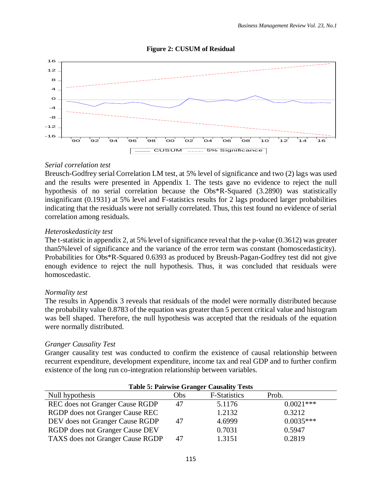### **Figure 2: CUSUM of Residual**



### *Serial correlation test*

Breusch-Godfrey serial Correlation LM test, at 5% level of significance and two (2) lags was used and the results were presented in Appendix 1. The tests gave no evidence to reject the null hypothesis of no serial correlation because the Obs\*R-Squared (3.2890) was statistically insignificant (0.1931) at 5% level and F-statistics results for 2 lags produced larger probabilities indicating that the residuals were not serially correlated. Thus, this test found no evidence of serial correlation among residuals.

### *Heteroskedasticity test*

The t-statistic in appendix 2, at 5% level of significance reveal that the p-value (0.3612) was greater than5%level of significance and the variance of the error term was constant (homoscedasticity). Probabilities for Obs\*R-Squared 0.6393 as produced by Breush-Pagan-Godfrey test did not give enough evidence to reject the null hypothesis. Thus, it was concluded that residuals were homoscedastic.

### *Normality test*

The results in Appendix 3 reveals that residuals of the model were normally distributed because the probability value 0.8783 of the equation was greater than 5 percent critical value and histogram was bell shaped. Therefore, the null hypothesis was accepted that the residuals of the equation were normally distributed.

### *Granger Causality Test*

Granger causality test was conducted to confirm the existence of causal relationship between recurrent expenditure, development expenditure, income tax and real GDP and to further confirm existence of the long run co-integration relationship between variables.

| <b>Table 5: Pairwise Granger Causality Tests</b> |     |                     |             |  |
|--------------------------------------------------|-----|---------------------|-------------|--|
| Null hypothesis                                  | Obs | <b>F-Statistics</b> | Prob.       |  |
| <b>REC</b> does not Granger Cause RGDP           | 47  | 5.1176              | $0.0021***$ |  |
| RGDP does not Granger Cause REC                  |     | 1.2132              | 0.3212      |  |
| DEV does not Granger Cause RGDP                  | 47  | 4.6999              | $0.0035***$ |  |
| RGDP does not Granger Cause DEV                  |     | 0.7031              | 0.5947      |  |
| TAXS does not Granger Cause RGDP                 | 47  | 1.3151              | 0.2819      |  |

#### 115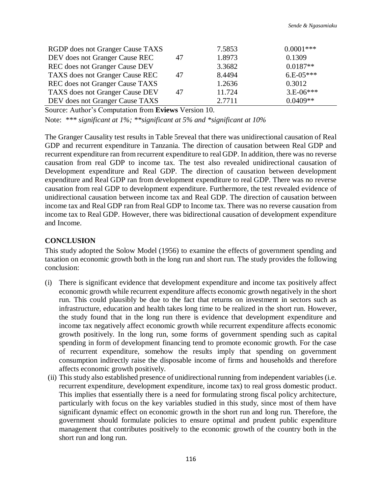| RGDP does not Granger Cause TAXS       |    | 7.5853 | $0.0001***$ |
|----------------------------------------|----|--------|-------------|
| DEV does not Granger Cause REC         | 47 | 1.8973 | 0.1309      |
| REC does not Granger Cause DEV         |    | 3.3682 | $0.0187**$  |
| TAXS does not Granger Cause REC        | 47 | 8.4494 | $6.E-05***$ |
| <b>REC</b> does not Granger Cause TAXS |    | 1.2636 | 0.3012      |
| TAXS does not Granger Cause DEV        | 47 | 11.724 | $3.E-06***$ |
| DEV does not Granger Cause TAXS        |    | 2.7711 | $0.0409**$  |

Source: Author's Computation from **Eviews** Version 10.

Note: *\*\*\* significant at 1%; \*\*significant at 5% and \*significant at 10%* 

The Granger Causality test results in Table 5reveal that there was unidirectional causation of Real GDP and recurrent expenditure in Tanzania. The direction of causation between Real GDP and recurrent expenditure ran from recurrent expenditure to real GDP. In addition, there was no reverse causation from real GDP to income tax. The test also revealed unidirectional causation of Development expenditure and Real GDP. The direction of causation between development expenditure and Real GDP ran from development expenditure to real GDP. There was no reverse causation from real GDP to development expenditure. Furthermore, the test revealed evidence of unidirectional causation between income tax and Real GDP. The direction of causation between income tax and Real GDP ran from Real GDP to Income tax. There was no reverse causation from income tax to Real GDP. However, there was bidirectional causation of development expenditure and Income.

### **CONCLUSION**

This study adopted the Solow Model (1956) to examine the effects of government spending and taxation on economic growth both in the long run and short run. The study provides the following conclusion:

- (i) There is significant evidence that development expenditure and income tax positively affect economic growth while recurrent expenditure affects economic growth negatively in the short run. This could plausibly be due to the fact that returns on investment in sectors such as infrastructure, education and health takes long time to be realized in the short run. However, the study found that in the long run there is evidence that development expenditure and income tax negatively affect economic growth while recurrent expenditure affects economic growth positively. In the long run, some forms of government spending such as capital spending in form of development financing tend to promote economic growth. For the case of recurrent expenditure, somehow the results imply that spending on government consumption indirectly raise the disposable income of firms and households and therefore affects economic growth positively.
- (ii) This study also established presence of unidirectional running from independent variables (i.e. recurrent expenditure, development expenditure, income tax) to real gross domestic product. This implies that essentially there is a need for formulating strong fiscal policy architecture, particularly with focus on the key variables studied in this study, since most of them have significant dynamic effect on economic growth in the short run and long run. Therefore, the government should formulate policies to ensure optimal and prudent public expenditure management that contributes positively to the economic growth of the country both in the short run and long run.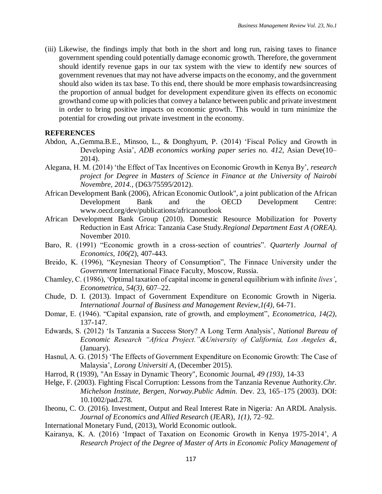(iii) Likewise, the findings imply that both in the short and long run, raising taxes to finance government spending could potentially damage economic growth. Therefore, the government should identify revenue gaps in our tax system with the view to identify new sources of government revenues that may not have adverse impacts on the economy, and the government should also widen its tax base. To this end, there should be more emphasis towardsincreasing the proportion of annual budget for development expenditure given its effects on economic growthand come up with policies that convey a balance between public and private investment in order to bring positive impacts on economic growth. This would in turn minimize the potential for crowding out private investment in the economy.

#### **REFERENCES**

- Abdon, A.,Gemma.B.E., Minsoo, L., & Donghyum, P*.* (2014) 'Fiscal Policy and Growth in Developing Asia', *ADB economics working paper series no. 412*, Asian Deve(10– 2014).
- Alegana, H. M. (2014) 'the Effect of Tax Incentives on Economic Growth in Kenya By', *research project for Degree in Masters of Science in Finance at the University of Nairobi Novembre, 2014.*, (D63/75595/2012).
- African Development Bank (2006), African Economic Outlook", a joint publication of the African Development Bank and the OECD Development Centre: www.oecd.org/dev/publications/africanoutlook
- African Development Bank Group (2010). Domestic Resource Mobilization for Poverty Reduction in East Africa: Tanzania Case Study.*Regional Department East A (OREA)*. November 2010.
- Baro, R. (1991) "Economic growth in a cross-section of countries". *Quarterly Journal of Economics, 106(*2), 407-443.
- Breido, K. (1996), "Keynesian Theory of Consumption", The Finnace University under the *Government* International Finace Faculty, Moscow, Russia.
- Chamley, C. (1986), 'Optimal taxation of capital income in general equilibrium with infinite *lives'*, *Econometrica*, *54(3)*, 607–22.
- Chude, D. I. (2013). Impact of Government Expenditure on Economic Growth in Nigeria. *International Journal of Business and Management Review*,*1(4)*, 64-71.
- Domar, E. (1946). "Capital expansion, rate of growth, and employment", *Econometrica*, *14(2)*, 137-147.
- Edwards, S. (2012) 'Is Tanzania a Success Story? A Long Term Analysis', *National Bureau of Economic Research "Africa Project."&University of California, Los Angeles &*, (January).
- Hasnul, A. G. (2015) 'The Effects of Government Expenditure on Economic Growth: The Case of Malaysia', *Lorong Universiti A*, (December 2015).
- Harrod, R (1939), "An Essay in Dynamic Theory", Economic Journal, *49 (193)*, 14-33
- Helge, F. (2003). Fighting Fiscal Corruption: Lessons from the Tanzania Revenue Authority.*Chr. Michelson Institute, Bergen, Norway.Public Admin.* Dev. 23, 165–175 (2003). DOI: 10.1002/pad.278.
- Iheonu, C. O. (2016). Investment, Output and Real Interest Rate in Nigeria*:* An ARDL Analysis. *Journal of Economics and Allied Research* (JEAR), *1(1)*, 72–92.
- International Monetary Fund, (2013), World Economic outlook.
- Kairanya, K. A. (2016) 'Impact of Taxation on Economic Growth in Kenya 1975-2014', *A Research Project of the Degree of Master of Arts in Economic Policy Management of*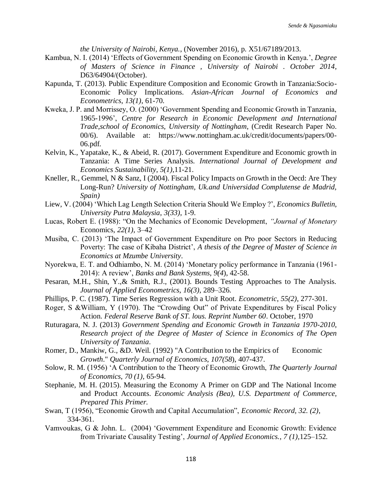*the University of Nairobi, Kenya.*, (November 2016), p. X51/67189/2013.

- Kambua, N. I. (2014) 'Effects of Government Spending on Economic Growth in Kenya.', *Degree of Masters of Science in Finance , University of Nairobi . October 2014*, D63/64904/(October).
- Kapunda, T. (2013). Public Expenditure Composition and Economic Growth in Tanzania:Socio-Economic Policy Implications. *Asian-African Journal of Economics and Econometrics*, *13(1)*, 61-70.
- Kweka, J. P. and Morrissey, O. (2000) 'Government Spending and Economic Growth in Tanzania, 1965-1996', *Centre for Research in Economic Development and International Trade,school of Economics, University of Nottingham*, (Credit Research Paper No. 00/6). Available at: https://www.nottingham.ac.uk/credit/documents/papers/00- 06.pdf.
- Kelvin, K., Yapatake, K., & Abeid, R. (2017). Government Expenditure and Economic growth in Tanzania: A Time Series Analysis. *International Journal of Development and Economics Sustainability*, *5(1)*,11-21.
- Kneller, R., Gemmel, N & Sanz, I (2004). Fiscal Policy Impacts on Growth in the Oecd: Are They Long-Run? *University of Nottingham, Uk*.*and Universidad Complutense de Madrid, Spain)*
- Liew, V. (2004) 'Which Lag Length Selection Criteria Should We Employ ?', *Economics Bulletin, University Putra Malaysia*, *3(33)*, 1-9.
- Lucas, Robert E. (1988): "On the Mechanics of Economic Development, *"Journal of Monetary*  Economics*, 22(1)*, 3–42
- Musiba, C. (2013) 'The Impact of Government Expenditure on Pro poor Sectors in Reducing Poverty: The case of Kibaha District', *A thesis of the Degree of Master of Science in Economics at Mzumbe University*.
- Nyorekwa, E. T. and Odhiambo, N. M. (2014) 'Monetary policy performance in Tanzania (1961- 2014): A review', *Banks and Bank Systems*, *9(4*), 42-58.
- Pesaran, M.H., Shin, Y.,& Smith, R.J., (2001). Bounds Testing Approaches to The Analysis. *Journal of Applied Econometrics*, *16(3)*, 289–326.
- Phillips, P. C. (1987). Time Series Regression with a Unit Root. *Econometric*, *55(2)*, 277-301.
- Roger, S &William, Y (1970). The "Crowding Out" of Private Expenditures by Fiscal Policy Action. *Federal Reserve Bank of ST. lous. Reprint Number 60*. October, 1970
- Ruturagara, N. J. (2013) *Government Spending and Economic Growth in Tanzania 1970-2010*, *Research project of the Degree of Master of Science in Economics of The Open University of Tanzania*.
- Romer, D., Mankiw, G., &D. Weil. (1992) "A Contribution to the Empirics of Economic *Growth*." *Quarterly Journal of Economics*, *107(58*), 407-437.
- Solow, R. M. (1956) 'A Contribution to the Theory of Economic Growth, *The Quarterly Journal of Economics*, *70 (1)*, 65-94.
- Stephanie, M. H. (2015). Measuring the Economy A Primer on GDP and The National Income and Product Accounts. *Economic Analysis (Bea), U.S. Department of Commerce, Prepared This Primer.*
- Swan, T (1956), "Economic Growth and Capital Accumulation", *Economic Record, 32. (2)*, 334-361.
- Vamvoukas, G & John. L. (2004) 'Government Expenditure and Economic Growth: Evidence from Trivariate Causality Testing', *Journal of Applied Economics.*, *7 (1),*125–152.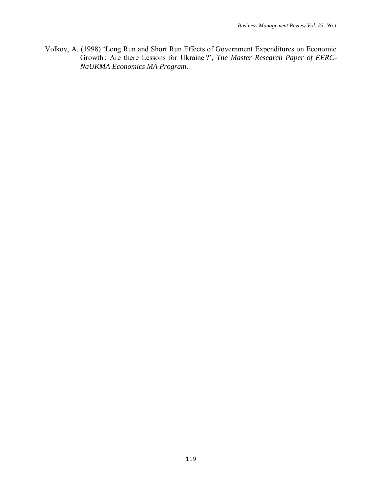Volkov, A. (1998) 'Long Run and Short Run Effects of Government Expenditures on Economic Growth : Are there Lessons for Ukraine ?', *The Master Research Paper of EERC*-*NaUKMA Economics MA Program*.